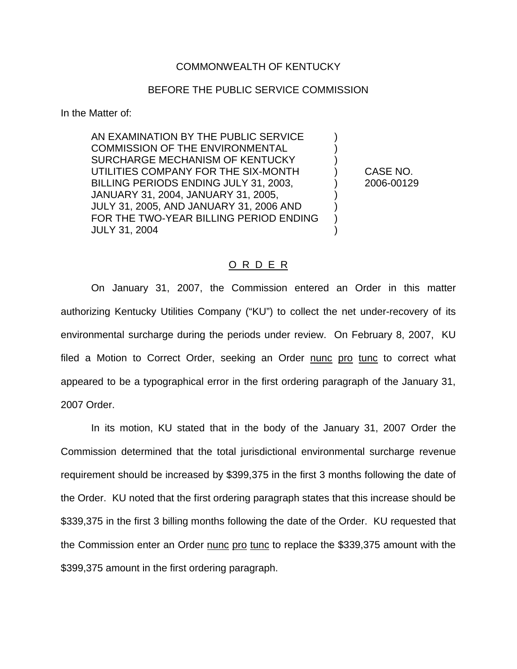## COMMONWEALTH OF KENTUCKY

## BEFORE THE PUBLIC SERVICE COMMISSION

In the Matter of:

AN EXAMINATION BY THE PUBLIC SERVICE ) COMMISSION OF THE ENVIRONMENTAL SURCHARGE MECHANISM OF KENTUCKY ) UTILITIES COMPANY FOR THE SIX-MONTH ) CASE NO. BILLING PERIODS ENDING JULY 31, 2003,  $\qquad \qquad$  2006-00129 JANUARY 31, 2004, JANUARY 31, 2005, ) JULY 31, 2005, AND JANUARY 31, 2006 AND ) FOR THE TWO-YEAR BILLING PERIOD ENDING ) JULY 31, 2004 )

## O R D E R

On January 31, 2007, the Commission entered an Order in this matter authorizing Kentucky Utilities Company ("KU") to collect the net under-recovery of its environmental surcharge during the periods under review. On February 8, 2007, KU filed a Motion to Correct Order, seeking an Order nunc pro tunc to correct what appeared to be a typographical error in the first ordering paragraph of the January 31, 2007 Order.

In its motion, KU stated that in the body of the January 31, 2007 Order the Commission determined that the total jurisdictional environmental surcharge revenue requirement should be increased by \$399,375 in the first 3 months following the date of the Order. KU noted that the first ordering paragraph states that this increase should be \$339,375 in the first 3 billing months following the date of the Order. KU requested that the Commission enter an Order nunc pro tunc to replace the \$339,375 amount with the \$399,375 amount in the first ordering paragraph.